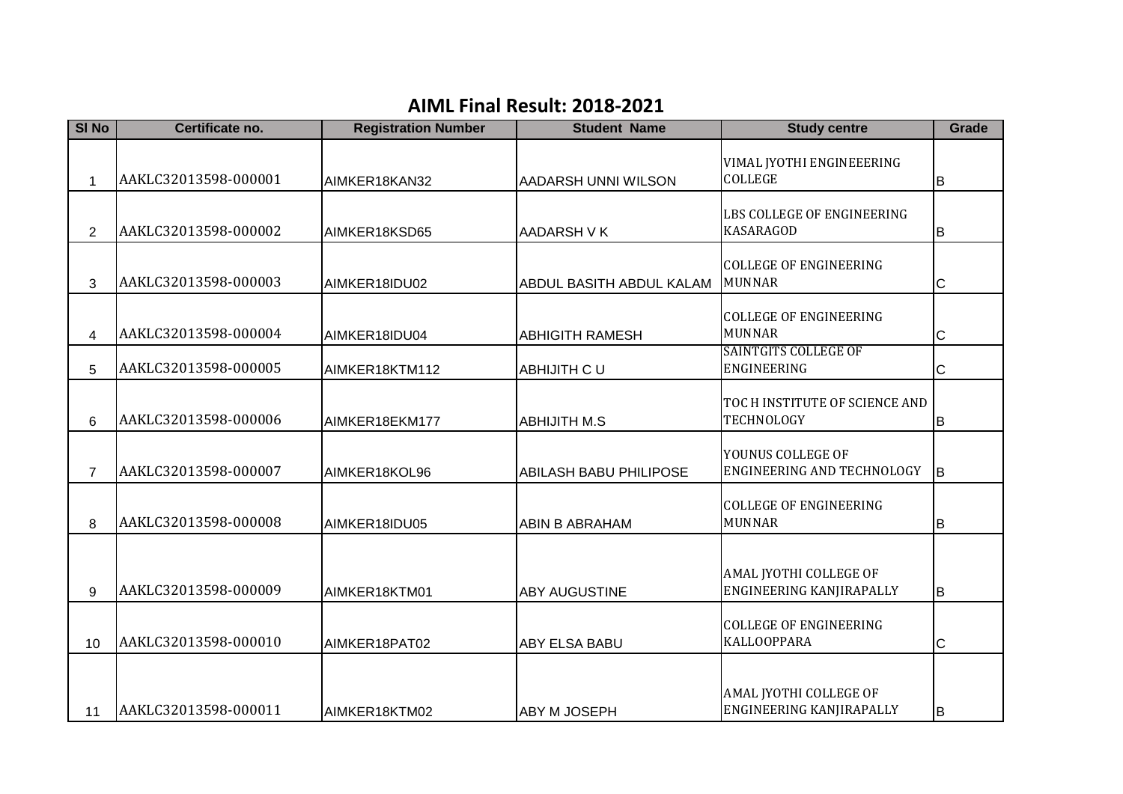## **AIML Final Result: 2018-2021**

| <b>SI No</b>   | Certificate no.      | <b>Registration Number</b> | <b>Student Name</b>           | <b>Study centre</b>                                       | Grade    |
|----------------|----------------------|----------------------------|-------------------------------|-----------------------------------------------------------|----------|
|                | AAKLC32013598-000001 |                            |                               | VIMAL JYOTHI ENGINEEERING<br><b>COLLEGE</b>               |          |
| 1              |                      | AIMKER18KAN32              | AADARSH UNNI WILSON           |                                                           | В        |
| 2              | AAKLC32013598-000002 | AIMKER18KSD65              | AADARSH V K                   | LBS COLLEGE OF ENGINEERING<br><b>KASARAGOD</b>            | В        |
| 3              | AAKLC32013598-000003 | AIMKER18IDU02              | ABDUL BASITH ABDUL KALAM      | <b>COLLEGE OF ENGINEERING</b><br><b>MUNNAR</b>            | C        |
| 4              | AAKLC32013598-000004 | AIMKER18IDU04              | <b>ABHIGITH RAMESH</b>        | <b>COLLEGE OF ENGINEERING</b><br><b>MUNNAR</b>            | С        |
| 5              | AAKLC32013598-000005 | AIMKER18KTM112             | ABHIJITH C U                  | <b>SAINTGITS COLLEGE OF</b><br>ENGINEERING                | С        |
| 6              | AAKLC32013598-000006 | AIMKER18EKM177             | <b>ABHIJITH M.S</b>           | TOC H INSTITUTE OF SCIENCE AND<br><b>TECHNOLOGY</b>       | В        |
| $\overline{7}$ | AAKLC32013598-000007 | AIMKER18KOL96              | <b>ABILASH BABU PHILIPOSE</b> | YOUNUS COLLEGE OF<br>ENGINEERING AND TECHNOLOGY           | <b>B</b> |
| 8              | AAKLC32013598-000008 | AIMKER18IDU05              | ABIN B ABRAHAM                | <b>COLLEGE OF ENGINEERING</b><br><b>MUNNAR</b>            | B        |
| 9              | AAKLC32013598-000009 | AIMKER18KTM01              | <b>ABY AUGUSTINE</b>          | AMAL JYOTHI COLLEGE OF<br>ENGINEERING KANJIRAPALLY        | B        |
| 10             | AAKLC32013598-000010 | AIMKER18PAT02              | <b>ABY ELSA BABU</b>          | <b>COLLEGE OF ENGINEERING</b><br><b>KALLOOPPARA</b>       | C        |
| 11             | AAKLC32013598-000011 | AIMKER18KTM02              | <b>ABY M JOSEPH</b>           | AMAL JYOTHI COLLEGE OF<br><b>ENGINEERING KANJIRAPALLY</b> | lв       |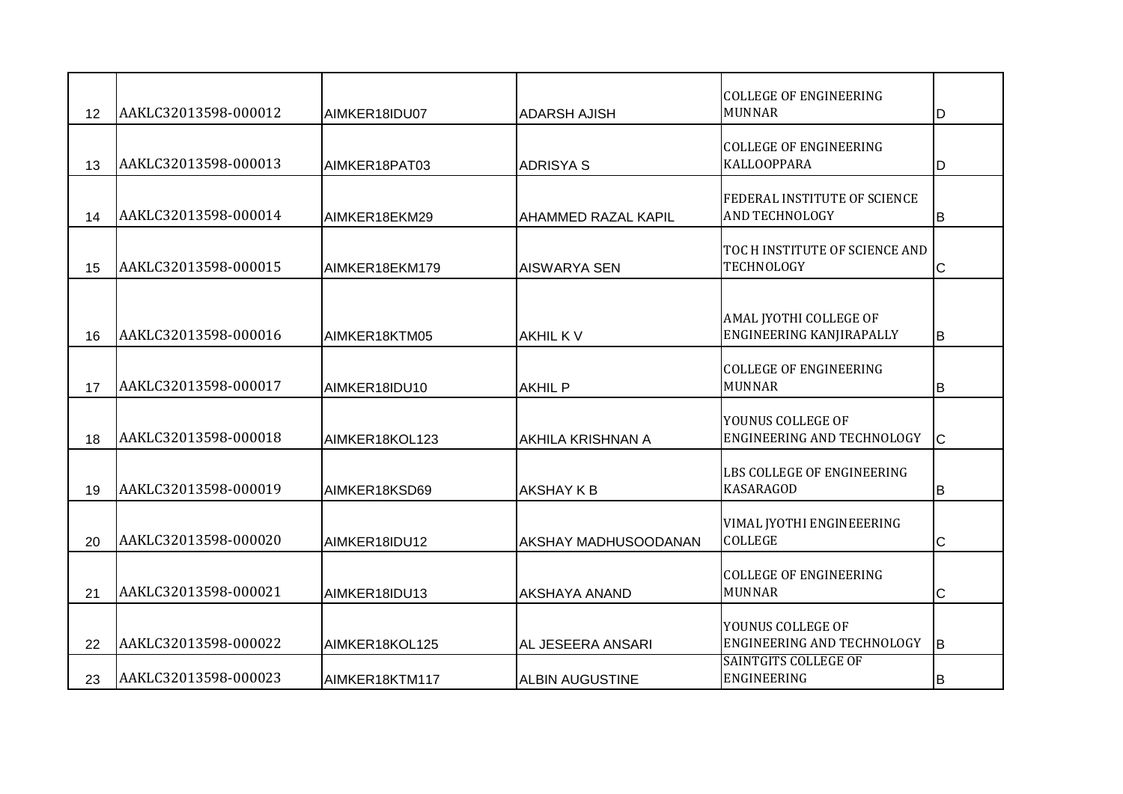| 12 | AAKLC32013598-000012 | AIMKER18IDU07  | <b>ADARSH AJISH</b>         | <b>COLLEGE OF ENGINEERING</b><br><b>MUNNAR</b>               | D   |
|----|----------------------|----------------|-----------------------------|--------------------------------------------------------------|-----|
| 13 | AAKLC32013598-000013 | AIMKER18PAT03  | <b>ADRISYA S</b>            | <b>COLLEGE OF ENGINEERING</b><br><b>KALLOOPPARA</b>          | D   |
| 14 | AAKLC32013598-000014 | AIMKER18EKM29  | <b>AHAMMED RAZAL KAPIL</b>  | <b>FEDERAL INSTITUTE OF SCIENCE</b><br><b>AND TECHNOLOGY</b> | lB. |
| 15 | AAKLC32013598-000015 | AIMKER18EKM179 | <b>AISWARYA SEN</b>         | TOC H INSTITUTE OF SCIENCE AND<br><b>TECHNOLOGY</b>          | C   |
| 16 | AAKLC32013598-000016 | AIMKER18KTM05  | <b>AKHIL KV</b>             | AMAL JYOTHI COLLEGE OF<br>ENGINEERING KANJIRAPALLY           | lв. |
| 17 | AAKLC32013598-000017 | AIMKER18IDU10  | <b>AKHIL P</b>              | <b>COLLEGE OF ENGINEERING</b><br><b>MUNNAR</b>               | B   |
| 18 | AAKLC32013598-000018 | AIMKER18KOL123 | AKHILA KRISHNAN A           | YOUNUS COLLEGE OF<br>ENGINEERING AND TECHNOLOGY              | Iс  |
| 19 | AAKLC32013598-000019 | AIMKER18KSD69  | <b>AKSHAY K B</b>           | LBS COLLEGE OF ENGINEERING<br><b>KASARAGOD</b>               | B   |
| 20 | AAKLC32013598-000020 | AIMKER18IDU12  | <b>AKSHAY MADHUSOODANAN</b> | VIMAL JYOTHI ENGINEEERING<br><b>COLLEGE</b>                  | С   |
| 21 | AAKLC32013598-000021 | AIMKER18IDU13  | IAKSHAYA ANAND              | <b>COLLEGE OF ENGINEERING</b><br><b>MUNNAR</b>               | С   |
| 22 | AAKLC32013598-000022 | AIMKER18KOL125 | AL JESEERA ANSARI           | YOUNUS COLLEGE OF<br>ENGINEERING AND TECHNOLOGY              | lB. |
| 23 | AAKLC32013598-000023 | AIMKER18KTM117 | <b>ALBIN AUGUSTINE</b>      | <b>SAINTGITS COLLEGE OF</b><br><b>ENGINEERING</b>            | IΒ  |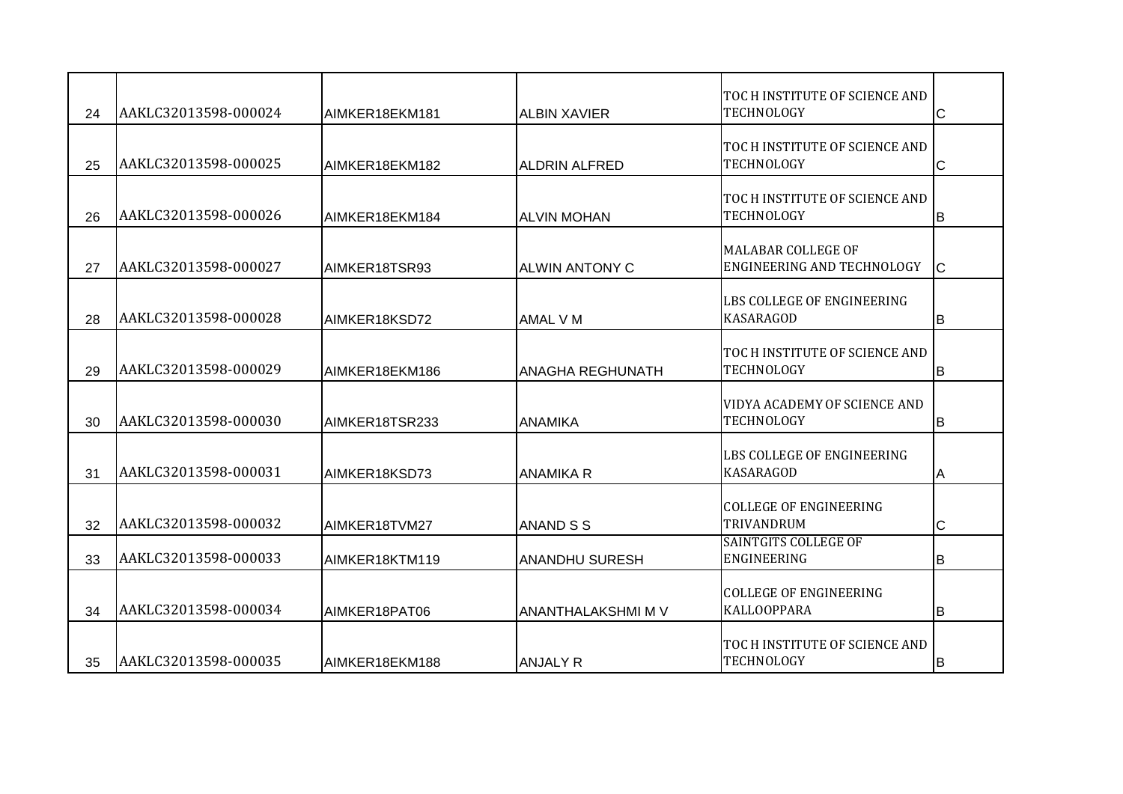| 24 | AAKLC32013598-000024 | AIMKER18EKM181 | <b>ALBIN XAVIER</b>       | TOC H INSTITUTE OF SCIENCE AND<br><b>TECHNOLOGY</b> | $\overline{\mathsf{C}}$ |
|----|----------------------|----------------|---------------------------|-----------------------------------------------------|-------------------------|
| 25 | AAKLC32013598-000025 | AIMKER18EKM182 | <b>ALDRIN ALFRED</b>      | TOC H INSTITUTE OF SCIENCE AND<br>TECHNOLOGY        | $\mathsf{C}$            |
| 26 | AAKLC32013598-000026 | AIMKER18EKM184 | <b>ALVIN MOHAN</b>        | TOC H INSTITUTE OF SCIENCE AND<br>TECHNOLOGY        | B                       |
| 27 | AAKLC32013598-000027 | AIMKER18TSR93  | <b>ALWIN ANTONY C</b>     | MALABAR COLLEGE OF<br>ENGINEERING AND TECHNOLOGY    | $\mathsf{C}$            |
| 28 | AAKLC32013598-000028 | AIMKER18KSD72  | <b>AMAL VM</b>            | LBS COLLEGE OF ENGINEERING<br><b>KASARAGOD</b>      | B                       |
| 29 | AAKLC32013598-000029 | AIMKER18EKM186 | <b>ANAGHA REGHUNATH</b>   | TOC H INSTITUTE OF SCIENCE AND<br>TECHNOLOGY        | B                       |
| 30 | AAKLC32013598-000030 | AIMKER18TSR233 | ANAMIKA                   | VIDYA ACADEMY OF SCIENCE AND<br>TECHNOLOGY          | B                       |
| 31 | AAKLC32013598-000031 | AIMKER18KSD73  | <b>ANAMIKA R</b>          | LBS COLLEGE OF ENGINEERING<br><b>KASARAGOD</b>      | Α                       |
| 32 | AAKLC32013598-000032 | AIMKER18TVM27  | ANAND S S                 | <b>COLLEGE OF ENGINEERING</b><br>TRIVANDRUM         | C                       |
| 33 | AAKLC32013598-000033 | AIMKER18KTM119 | <b>ANANDHU SURESH</b>     | <b>SAINTGITS COLLEGE OF</b><br>ENGINEERING          | B                       |
| 34 | AAKLC32013598-000034 | AIMKER18PAT06  | <b>ANANTHALAKSHMI M V</b> | <b>COLLEGE OF ENGINEERING</b><br>KALLOOPPARA        | B                       |
| 35 | AAKLC32013598-000035 | AIMKER18EKM188 | <b>ANJALY R</b>           | TOC H INSTITUTE OF SCIENCE AND<br>TECHNOLOGY        | ΙB                      |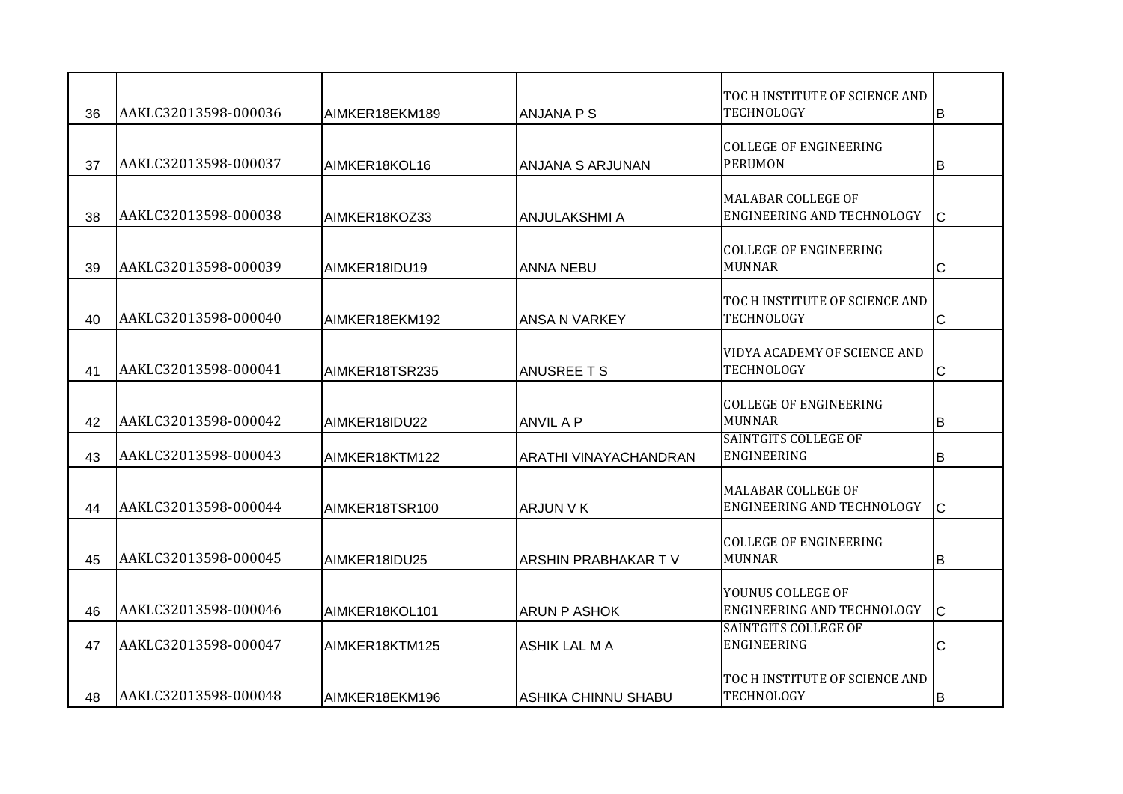|    |                      |                |                             | TOC H INSTITUTE OF SCIENCE AND                      |             |
|----|----------------------|----------------|-----------------------------|-----------------------------------------------------|-------------|
| 36 | AAKLC32013598-000036 | AIMKER18EKM189 | <b>ANJANA P S</b>           | TECHNOLOGY                                          | B           |
| 37 | AAKLC32013598-000037 | AIMKER18KOL16  | <b>ANJANA S ARJUNAN</b>     | <b>COLLEGE OF ENGINEERING</b><br><b>PERUMON</b>     | B           |
| 38 | AAKLC32013598-000038 | AIMKER18KOZ33  | <b>ANJULAKSHMI A</b>        | MALABAR COLLEGE OF<br>ENGINEERING AND TECHNOLOGY    | lc.         |
| 39 | AAKLC32013598-000039 | AIMKER18IDU19  | <b>ANNA NEBU</b>            | <b>COLLEGE OF ENGINEERING</b><br><b>MUNNAR</b>      | C           |
| 40 | AAKLC32013598-000040 | AIMKER18EKM192 | <b>ANSA N VARKEY</b>        | TOC H INSTITUTE OF SCIENCE AND<br><b>TECHNOLOGY</b> | C           |
| 41 | AAKLC32013598-000041 | AIMKER18TSR235 | <b>ANUSREE T S</b>          | VIDYA ACADEMY OF SCIENCE AND<br>TECHNOLOGY          | С           |
| 42 | AAKLC32013598-000042 | AIMKER18IDU22  | <b>ANVIL A P</b>            | <b>COLLEGE OF ENGINEERING</b><br><b>MUNNAR</b>      | B           |
| 43 | AAKLC32013598-000043 | AIMKER18KTM122 | IARATHI VINAYACHANDRAN      | <b>SAINTGITS COLLEGE OF</b><br>ENGINEERING          | B           |
| 44 | AAKLC32013598-000044 | AIMKER18TSR100 | <b>ARJUN V K</b>            | MALABAR COLLEGE OF<br>ENGINEERING AND TECHNOLOGY    | lc.         |
| 45 | AAKLC32013598-000045 | AIMKER18IDU25  | <b>ARSHIN PRABHAKAR T V</b> | <b>COLLEGE OF ENGINEERING</b><br><b>MUNNAR</b>      | B           |
| 46 | AAKLC32013598-000046 | AIMKER18KOL101 | <b>ARUN P ASHOK</b>         | YOUNUS COLLEGE OF<br>ENGINEERING AND TECHNOLOGY     | $\mathsf C$ |
| 47 | AAKLC32013598-000047 | AIMKER18KTM125 | <b>ASHIK LAL MA</b>         | <b>SAINTGITS COLLEGE OF</b><br><b>ENGINEERING</b>   | $\mathsf C$ |
| 48 | AAKLC32013598-000048 | AIMKER18EKM196 | IASHIKA CHINNU SHABU        | TOC H INSTITUTE OF SCIENCE AND<br>TECHNOLOGY        | IΒ          |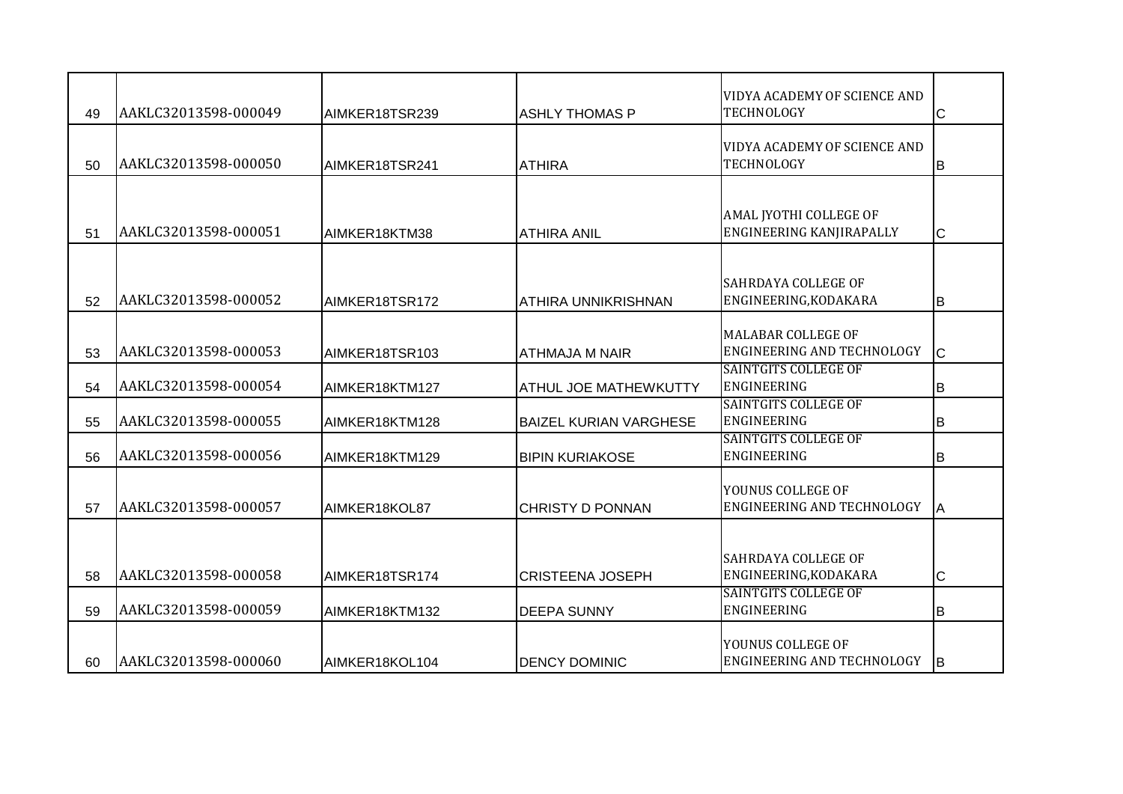| 49 | AAKLC32013598-000049 | AIMKER18TSR239 | <b>ASHLY THOMAS P</b>         | VIDYA ACADEMY OF SCIENCE AND<br><b>TECHNOLOGY</b>       | Iс          |
|----|----------------------|----------------|-------------------------------|---------------------------------------------------------|-------------|
| 50 | AAKLC32013598-000050 | AIMKER18TSR241 | ATHIRA                        | VIDYA ACADEMY OF SCIENCE AND<br><b>TECHNOLOGY</b>       | lв          |
| 51 | AAKLC32013598-000051 | AIMKER18KTM38  | <b>ATHIRA ANIL</b>            | AMAL JYOTHI COLLEGE OF<br>ENGINEERING KANJIRAPALLY      | Iс          |
| 52 | AAKLC32013598-000052 | AIMKER18TSR172 | ATHIRA UNNIKRISHNAN           | SAHRDAYA COLLEGE OF<br>ENGINEERING, KODAKARA            | lв          |
| 53 | AAKLC32013598-000053 | AIMKER18TSR103 | <b>ATHMAJA M NAIR</b>         | MALABAR COLLEGE OF<br><b>ENGINEERING AND TECHNOLOGY</b> | lc.         |
| 54 | AAKLC32013598-000054 | AIMKER18KTM127 | <b>ATHUL JOE MATHEWKUTTY</b>  | <b>SAINTGITS COLLEGE OF</b><br><b>ENGINEERING</b>       | B           |
| 55 | AAKLC32013598-000055 | AIMKER18KTM128 | <b>BAIZEL KURIAN VARGHESE</b> | <b>SAINTGITS COLLEGE OF</b><br>ENGINEERING              | B           |
| 56 | AAKLC32013598-000056 | AIMKER18KTM129 | <b>BIPIN KURIAKOSE</b>        | <b>SAINTGITS COLLEGE OF</b><br><b>ENGINEERING</b>       | B           |
| 57 | AAKLC32013598-000057 | AIMKER18KOL87  | <b>CHRISTY D PONNAN</b>       | YOUNUS COLLEGE OF<br><b>ENGINEERING AND TECHNOLOGY</b>  | A           |
| 58 | AAKLC32013598-000058 | AIMKER18TSR174 | <b>CRISTEENA JOSEPH</b>       | <b>SAHRDAYA COLLEGE OF</b><br>ENGINEERING, KODAKARA     | $\mathsf C$ |
| 59 | AAKLC32013598-000059 | AIMKER18KTM132 | <b>DEEPA SUNNY</b>            | <b>SAINTGITS COLLEGE OF</b><br><b>ENGINEERING</b>       | B           |
| 60 | AAKLC32013598-000060 | AIMKER18KOL104 | <b>DENCY DOMINIC</b>          | YOUNUS COLLEGE OF<br><b>ENGINEERING AND TECHNOLOGY</b>  | <b>IB</b>   |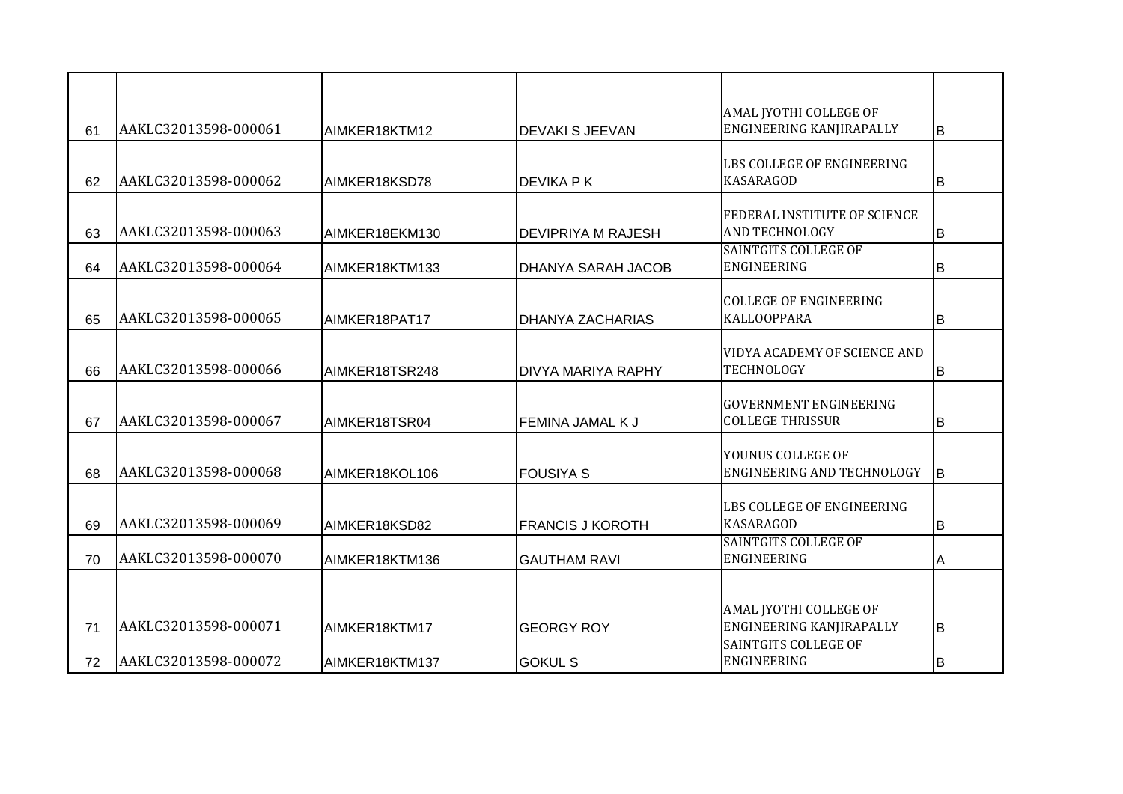|    |                      |                |                           | AMAL JYOTHI COLLEGE OF                                   |    |
|----|----------------------|----------------|---------------------------|----------------------------------------------------------|----|
| 61 | AAKLC32013598-000061 | AIMKER18KTM12  | <b>DEVAKI S JEEVAN</b>    | ENGINEERING KANJIRAPALLY                                 | B  |
| 62 | AAKLC32013598-000062 | AIMKER18KSD78  | <b>DEVIKA PK</b>          | LBS COLLEGE OF ENGINEERING<br><b>KASARAGOD</b>           | B  |
| 63 | AAKLC32013598-000063 | AIMKER18EKM130 | <b>DEVIPRIYA M RAJESH</b> | FEDERAL INSTITUTE OF SCIENCE<br><b>AND TECHNOLOGY</b>    | B  |
| 64 | AAKLC32013598-000064 | AIMKER18KTM133 | <b>DHANYA SARAH JACOB</b> | SAINTGITS COLLEGE OF<br>ENGINEERING                      | В  |
| 65 | AAKLC32013598-000065 | AIMKER18PAT17  | <b>DHANYA ZACHARIAS</b>   | <b>COLLEGE OF ENGINEERING</b><br><b>KALLOOPPARA</b>      | В  |
| 66 | AAKLC32013598-000066 | AIMKER18TSR248 | <b>DIVYA MARIYA RAPHY</b> | VIDYA ACADEMY OF SCIENCE AND<br>TECHNOLOGY               | В  |
| 67 | AAKLC32013598-000067 | AIMKER18TSR04  | <b>FEMINA JAMAL K J</b>   | <b>GOVERNMENT ENGINEERING</b><br><b>COLLEGE THRISSUR</b> | B  |
| 68 | AAKLC32013598-000068 | AIMKER18KOL106 | <b>FOUSIYA S</b>          | YOUNUS COLLEGE OF<br>ENGINEERING AND TECHNOLOGY          | lв |
| 69 | AAKLC32013598-000069 | AIMKER18KSD82  | <b>FRANCIS J KOROTH</b>   | LBS COLLEGE OF ENGINEERING<br><b>KASARAGOD</b>           | В  |
| 70 | AAKLC32013598-000070 | AIMKER18KTM136 | <b>GAUTHAM RAVI</b>       | SAINTGITS COLLEGE OF<br><b>ENGINEERING</b>               | A  |
| 71 | AAKLC32013598-000071 | AIMKER18KTM17  | <b>GEORGY ROY</b>         | AMAL JYOTHI COLLEGE OF<br>ENGINEERING KANJIRAPALLY       | B  |
| 72 | AAKLC32013598-000072 | AIMKER18KTM137 | <b>GOKUL S</b>            | SAINTGITS COLLEGE OF<br>ENGINEERING                      | В  |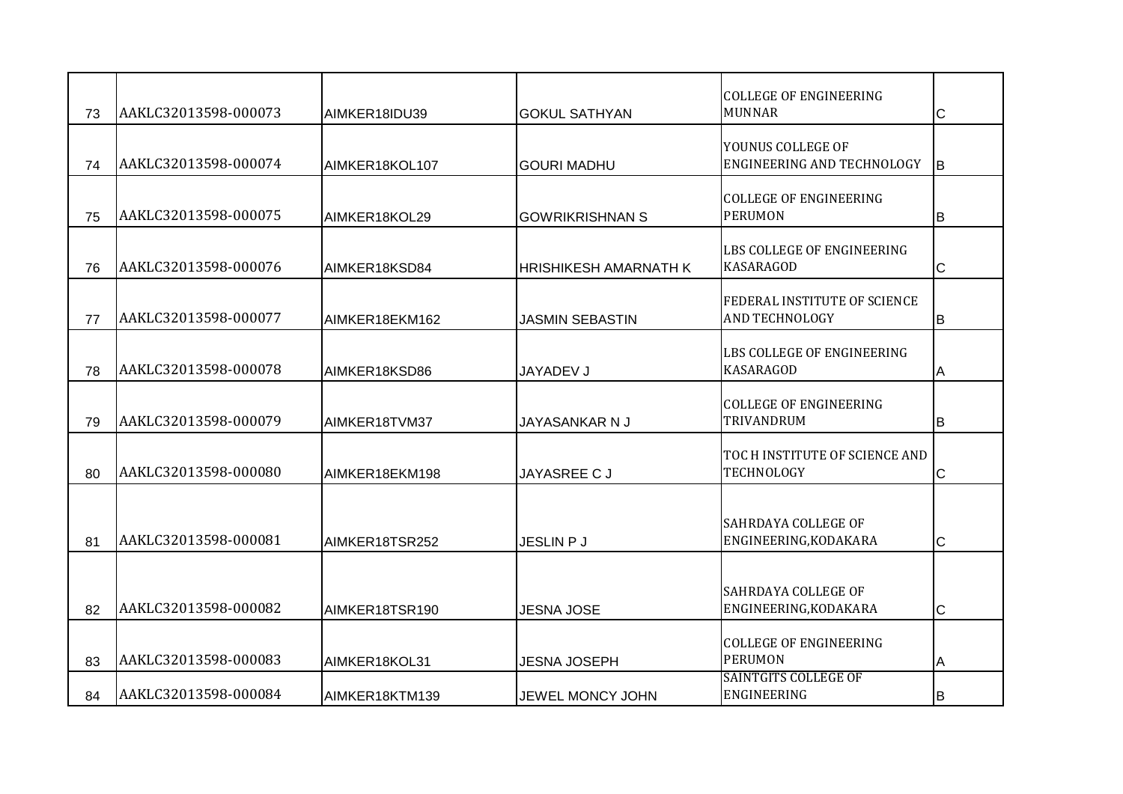| 73 | AAKLC32013598-000073 | AIMKER18IDU39  | <b>GOKUL SATHYAN</b>         | <b>COLLEGE OF ENGINEERING</b><br><b>MUNNAR</b>        | C            |
|----|----------------------|----------------|------------------------------|-------------------------------------------------------|--------------|
| 74 | AAKLC32013598-000074 | AIMKER18KOL107 | <b>GOURI MADHU</b>           | YOUNUS COLLEGE OF<br>ENGINEERING AND TECHNOLOGY       | lв           |
| 75 | AAKLC32013598-000075 | AIMKER18KOL29  | <b>GOWRIKRISHNAN S</b>       | <b>COLLEGE OF ENGINEERING</b><br><b>PERUMON</b>       | ΙB           |
| 76 | AAKLC32013598-000076 | AIMKER18KSD84  | <b>HRISHIKESH AMARNATH K</b> | LBS COLLEGE OF ENGINEERING<br><b>KASARAGOD</b>        | C            |
| 77 | AAKLC32013598-000077 | AIMKER18EKM162 | <b>JASMIN SEBASTIN</b>       | FEDERAL INSTITUTE OF SCIENCE<br><b>AND TECHNOLOGY</b> | B            |
| 78 | AAKLC32013598-000078 | AIMKER18KSD86  | JAYADEV J                    | LBS COLLEGE OF ENGINEERING<br><b>KASARAGOD</b>        | A            |
| 79 | AAKLC32013598-000079 | AIMKER18TVM37  | JAYASANKAR N J               | <b>COLLEGE OF ENGINEERING</b><br>TRIVANDRUM           | IB.          |
| 80 | AAKLC32013598-000080 | AIMKER18EKM198 | <b>JAYASREE CJ</b>           | TOC H INSTITUTE OF SCIENCE AND<br>TECHNOLOGY          | $\mathsf{C}$ |
| 81 | AAKLC32013598-000081 | AIMKER18TSR252 | <b>JESLIN P J</b>            | SAHRDAYA COLLEGE OF<br>ENGINEERING, KODAKARA          | C            |
| 82 | AAKLC32013598-000082 | AIMKER18TSR190 | <b>JESNA JOSE</b>            | SAHRDAYA COLLEGE OF<br>ENGINEERING, KODAKARA          | $\mathsf C$  |
| 83 | AAKLC32013598-000083 | AIMKER18KOL31  | <b>JESNA JOSEPH</b>          | <b>COLLEGE OF ENGINEERING</b><br><b>PERUMON</b>       | Α            |
| 84 | AAKLC32013598-000084 | AIMKER18KTM139 | JEWEL MONCY JOHN             | <b>SAINTGITS COLLEGE OF</b><br>ENGINEERING            | lΒ           |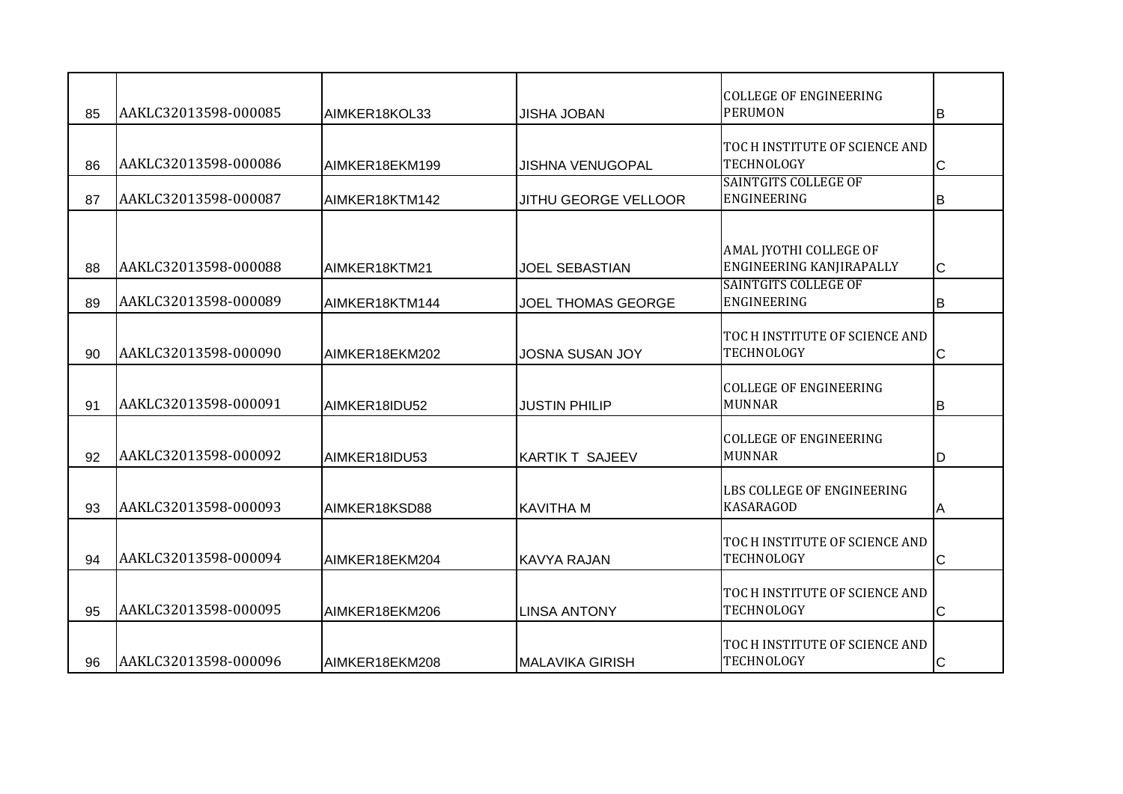| 85 | AAKLC32013598-000085 | AIMKER18KOL33  | <b>JISHA JOBAN</b>        | <b>COLLEGE OF ENGINEERING</b><br><b>PERUMON</b>     | lв           |
|----|----------------------|----------------|---------------------------|-----------------------------------------------------|--------------|
| 86 | AAKLC32013598-000086 | AIMKER18EKM199 | <b>JISHNA VENUGOPAL</b>   | TOC H INSTITUTE OF SCIENCE AND<br><b>TECHNOLOGY</b> | $\mathsf{C}$ |
| 87 | AAKLC32013598-000087 | AIMKER18KTM142 | JITHU GEORGE VELLOOR      | <b>SAINTGITS COLLEGE OF</b><br><b>ENGINEERING</b>   | B            |
| 88 | AAKLC32013598-000088 | AIMKER18KTM21  | <b>JOEL SEBASTIAN</b>     | AMAL JYOTHI COLLEGE OF<br>ENGINEERING KANJIRAPALLY  | С            |
| 89 | AAKLC32013598-000089 | AIMKER18KTM144 | <b>JOEL THOMAS GEORGE</b> | <b>SAINTGITS COLLEGE OF</b><br>ENGINEERING          | B            |
| 90 | AAKLC32013598-000090 | AIMKER18EKM202 | <b>JOSNA SUSAN JOY</b>    | TOC H INSTITUTE OF SCIENCE AND<br>TECHNOLOGY        | C            |
| 91 | AAKLC32013598-000091 | AIMKER18IDU52  | <b>JUSTIN PHILIP</b>      | <b>COLLEGE OF ENGINEERING</b><br><b>MUNNAR</b>      | B            |
| 92 | AAKLC32013598-000092 | AIMKER18IDU53  | <b>KARTIK T SAJEEV</b>    | <b>COLLEGE OF ENGINEERING</b><br><b>MUNNAR</b>      | D            |
| 93 | AAKLC32013598-000093 | AIMKER18KSD88  | <b>I</b> KAVITHA M        | LBS COLLEGE OF ENGINEERING<br><b>KASARAGOD</b>      | Α            |
| 94 | AAKLC32013598-000094 | AIMKER18EKM204 | KAVYA RAJAN               | TOC H INSTITUTE OF SCIENCE AND<br><b>TECHNOLOGY</b> | $\mathsf{C}$ |
| 95 | AAKLC32013598-000095 | AIMKER18EKM206 | <b>LINSA ANTONY</b>       | TOC H INSTITUTE OF SCIENCE AND<br>TECHNOLOGY        | C            |
| 96 | AAKLC32013598-000096 | AIMKER18EKM208 | <b>MALAVIKA GIRISH</b>    | TOC H INSTITUTE OF SCIENCE AND<br>TECHNOLOGY        | C            |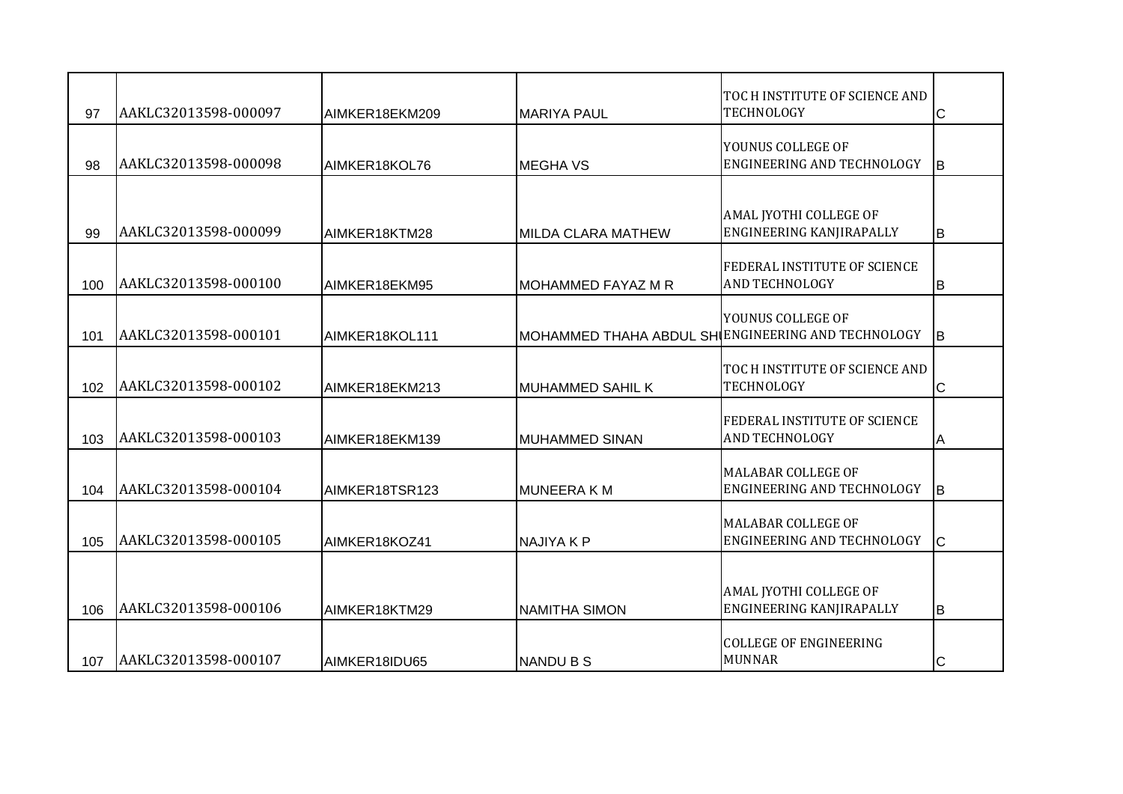| 97  | AAKLC32013598-000097 | AIMKER18EKM209 | <b>MARIYA PAUL</b>                                 | TOC H INSTITUTE OF SCIENCE AND<br><b>TECHNOLOGY</b>            | $\mathsf{C}$ |
|-----|----------------------|----------------|----------------------------------------------------|----------------------------------------------------------------|--------------|
| 98  | AAKLC32013598-000098 | AIMKER18KOL76  | <b>I</b> MEGHA VS                                  | YOUNUS COLLEGE OF<br><b>ENGINEERING AND TECHNOLOGY</b>         | IB.          |
|     |                      |                |                                                    | AMAL JYOTHI COLLEGE OF                                         |              |
| 99  | AAKLC32013598-000099 | AIMKER18KTM28  | <b>MILDA CLARA MATHEW</b>                          | ENGINEERING KANJIRAPALLY                                       | lв.          |
| 100 | AAKLC32013598-000100 | AIMKER18EKM95  | MOHAMMED FAYAZ M R                                 | FEDERAL INSTITUTE OF SCIENCE<br><b>AND TECHNOLOGY</b>          | lв           |
| 101 | AAKLC32013598-000101 | AIMKER18KOL111 | MOHAMMED THAHA ABDUL SH ENGINEERING AND TECHNOLOGY | YOUNUS COLLEGE OF                                              | <b>B</b>     |
| 102 | AAKLC32013598-000102 | AIMKER18EKM213 | MUHAMMED SAHIL K                                   | TOC H INSTITUTE OF SCIENCE AND<br><b>TECHNOLOGY</b>            | $\mathsf{C}$ |
| 103 | AAKLC32013598-000103 | AIMKER18EKM139 | <b>MUHAMMED SINAN</b>                              | FEDERAL INSTITUTE OF SCIENCE<br>AND TECHNOLOGY                 | A            |
| 104 | AAKLC32013598-000104 | AIMKER18TSR123 | MUNEERA K M                                        | <b>MALABAR COLLEGE OF</b><br>ENGINEERING AND TECHNOLOGY        | lв           |
| 105 | AAKLC32013598-000105 | AIMKER18KOZ41  | <b>NAJIYAKP</b>                                    | <b>MALABAR COLLEGE OF</b><br><b>ENGINEERING AND TECHNOLOGY</b> | Iс           |
| 106 | AAKLC32013598-000106 | AIMKER18KTM29  | <b>NAMITHA SIMON</b>                               | AMAL JYOTHI COLLEGE OF<br>ENGINEERING KANJIRAPALLY             | lв.          |
| 107 | AAKLC32013598-000107 | AIMKER18IDU65  | <b>NANDU B S</b>                                   | <b>COLLEGE OF ENGINEERING</b><br><b>MUNNAR</b>                 | Iс           |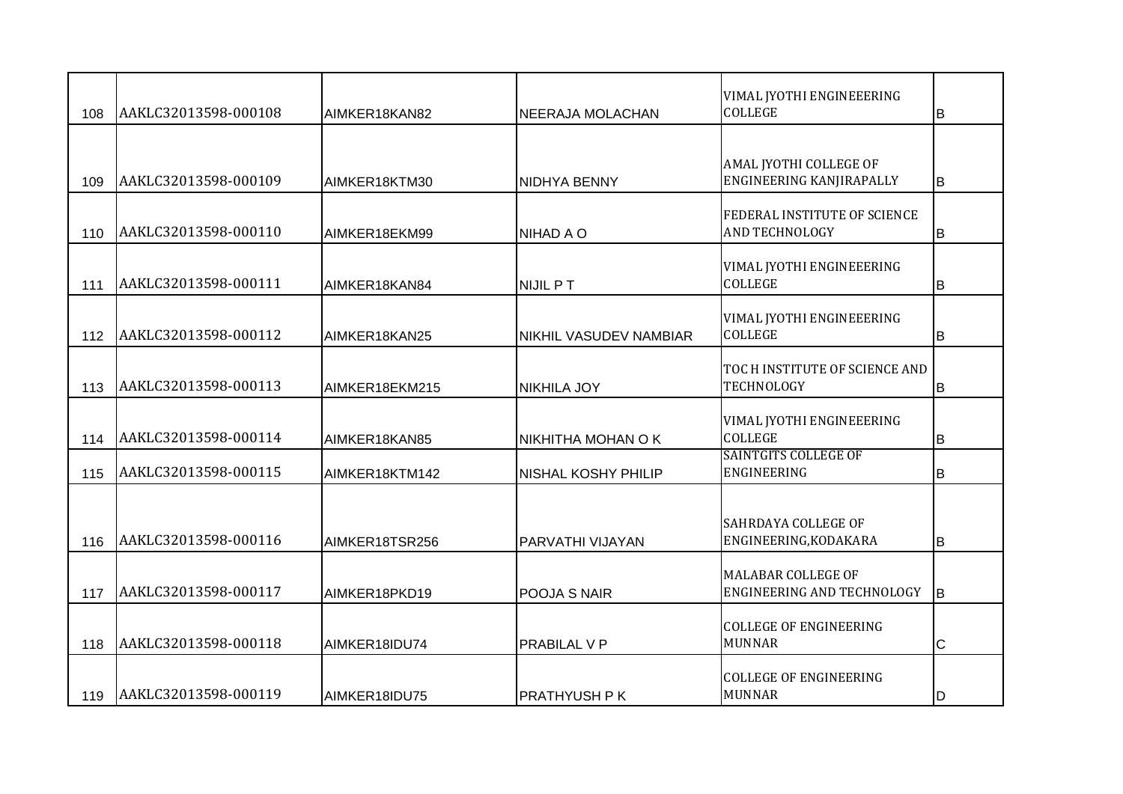| 108 | AAKLC32013598-000108 | AIMKER18KAN82  | <b>NEERAJA MOLACHAN</b>       | VIMAL JYOTHI ENGINEEERING<br><b>COLLEGE</b>             | ΙB           |
|-----|----------------------|----------------|-------------------------------|---------------------------------------------------------|--------------|
|     |                      |                |                               |                                                         |              |
| 109 | AAKLC32013598-000109 | AIMKER18KTM30  | NIDHYA BENNY                  | AMAL JYOTHI COLLEGE OF<br>ENGINEERING KANJIRAPALLY      | lв           |
| 110 | AAKLC32013598-000110 | AIMKER18EKM99  | NIHAD A O                     | FEDERAL INSTITUTE OF SCIENCE<br><b>AND TECHNOLOGY</b>   | lв           |
| 111 | AAKLC32013598-000111 | AIMKER18KAN84  | <b>NIJIL PT</b>               | VIMAL JYOTHI ENGINEEERING<br><b>COLLEGE</b>             | lв           |
| 112 | AAKLC32013598-000112 | AIMKER18KAN25  | <b>NIKHIL VASUDEV NAMBIAR</b> | VIMAL JYOTHI ENGINEEERING<br><b>COLLEGE</b>             | lв           |
| 113 | AAKLC32013598-000113 | AIMKER18EKM215 | <b>NIKHILA JOY</b>            | TOC H INSTITUTE OF SCIENCE AND<br>TECHNOLOGY            | B            |
| 114 | AAKLC32013598-000114 | AIMKER18KAN85  | NIKHITHA MOHAN O K            | VIMAL JYOTHI ENGINEEERING<br><b>COLLEGE</b>             | lв           |
| 115 | AAKLC32013598-000115 | AIMKER18KTM142 | <b>NISHAL KOSHY PHILIP</b>    | <b>SAINTGITS COLLEGE OF</b><br>ENGINEERING              | B            |
| 116 | AAKLC32013598-000116 | AIMKER18TSR256 | PARVATHI VIJAYAN              | SAHRDAYA COLLEGE OF<br>ENGINEERING, KODAKARA            | lв.          |
| 117 | AAKLC32013598-000117 | AIMKER18PKD19  | POOJA S NAIR                  | <b>MALABAR COLLEGE OF</b><br>ENGINEERING AND TECHNOLOGY | lв           |
| 118 | AAKLC32013598-000118 | AIMKER18IDU74  | <b>PRABILAL V P</b>           | <b>COLLEGE OF ENGINEERING</b><br><b>MUNNAR</b>          | $\mathsf{C}$ |
| 119 | AAKLC32013598-000119 | AIMKER18IDU75  | IPRATHYUSH P K                | <b>COLLEGE OF ENGINEERING</b><br><b>MUNNAR</b>          | ID           |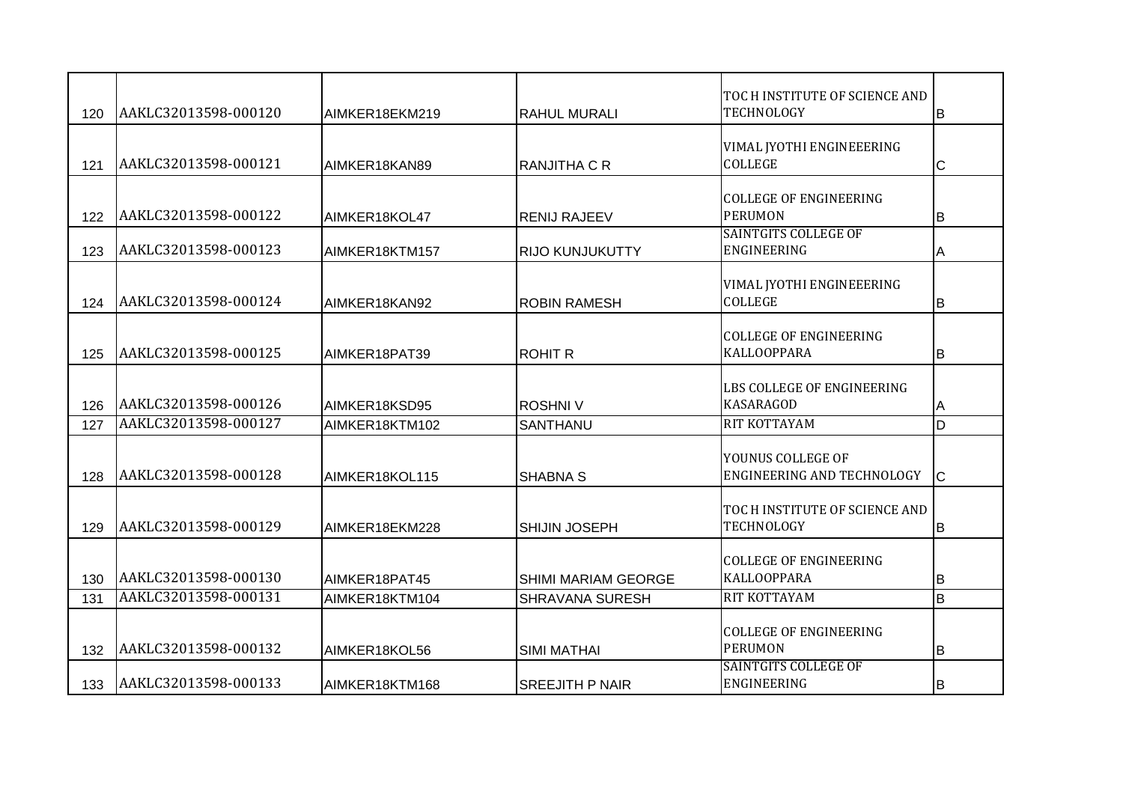| 120 | AAKLC32013598-000120 | AIMKER18EKM219 | <b>RAHUL MURALI</b>        | TOC H INSTITUTE OF SCIENCE AND<br><b>TECHNOLOGY</b> | lв  |
|-----|----------------------|----------------|----------------------------|-----------------------------------------------------|-----|
| 121 | AAKLC32013598-000121 | AIMKER18KAN89  | RANJITHA C R               | VIMAL JYOTHI ENGINEEERING<br>COLLEGE                | C   |
| 122 | AAKLC32013598-000122 | AIMKER18KOL47  | <b>RENIJ RAJEEV</b>        | <b>COLLEGE OF ENGINEERING</b><br><b>PERUMON</b>     | lв  |
| 123 | AAKLC32013598-000123 | AIMKER18KTM157 | <b>RIJO KUNJUKUTTY</b>     | <b>SAINTGITS COLLEGE OF</b><br>ENGINEERING          | A   |
| 124 | AAKLC32013598-000124 | AIMKER18KAN92  | <b>ROBIN RAMESH</b>        | VIMAL JYOTHI ENGINEEERING<br>COLLEGE                | B   |
| 125 | AAKLC32013598-000125 | AIMKER18PAT39  | <b>ROHIT R</b>             | <b>COLLEGE OF ENGINEERING</b><br><b>KALLOOPPARA</b> | B   |
| 126 | AAKLC32013598-000126 | AIMKER18KSD95  | <b>ROSHNIV</b>             | LBS COLLEGE OF ENGINEERING<br>KASARAGOD             | ΙA  |
| 127 | AAKLC32013598-000127 | AIMKER18KTM102 | SANTHANU                   | RIT KOTTAYAM                                        | ID. |
| 128 | AAKLC32013598-000128 | AIMKER18KOL115 | <b>SHABNA S</b>            | YOUNUS COLLEGE OF<br>ENGINEERING AND TECHNOLOGY     | Iс  |
| 129 | AAKLC32013598-000129 | AIMKER18EKM228 | <b>SHIJIN JOSEPH</b>       | TOC H INSTITUTE OF SCIENCE AND<br><b>TECHNOLOGY</b> | ΙB  |
| 130 | AAKLC32013598-000130 | AIMKER18PAT45  | <b>SHIMI MARIAM GEORGE</b> | <b>COLLEGE OF ENGINEERING</b><br><b>KALLOOPPARA</b> | B   |
| 131 | AAKLC32013598-000131 | AIMKER18KTM104 | <b>SHRAVANA SURESH</b>     | RIT KOTTAYAM                                        | lв  |
| 132 | AAKLC32013598-000132 | AIMKER18KOL56  | <b>SIMI MATHAI</b>         | <b>COLLEGE OF ENGINEERING</b><br><b>PERUMON</b>     | B   |
| 133 | AAKLC32013598-000133 | AIMKER18KTM168 | <b>I</b> SREEJITH P NAIR   | <b>SAINTGITS COLLEGE OF</b><br>ENGINEERING          | IB  |